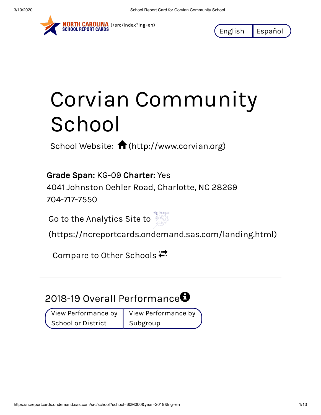

NORTH CAROLINA (/src/index?Ing=en)<br>SCHOOL REPORT CARDS

English Español

## Corvian Community School

School Website:  $\bigcap$  [\(http://www.corvian.org\)](http://www.corvian.org/)

Grade Span: KG-09 Charter: Yes

4041 Johnston Oehler Road, Charlotte, NC 28269 704-717-7550

Go to the Analytics Site to



[\(https://ncreportcards.ondemand.sas.com/landing.html\)](https://ncreportcards.ondemand.sas.com/landing.html)

Compare to Other Schools

## 2018-19 Overall Performance $\bm \Theta$

View Performance by School or District

View Performance by Subgroup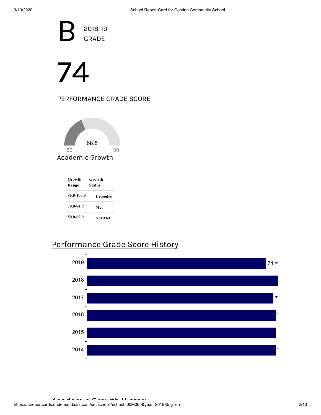B<sup>a</sup> 2018-19 GRADE

# 74

#### PERFORMANCE GRADE SCORE



| Growth<br>Range | Growth<br>Status |  |
|-----------------|------------------|--|
| 85.0-100.0      | <b>Exceeded</b>  |  |
| 70.0-84.9       | Met              |  |
| 50.0-69.9       | Not Met          |  |

#### Performance Grade Score History

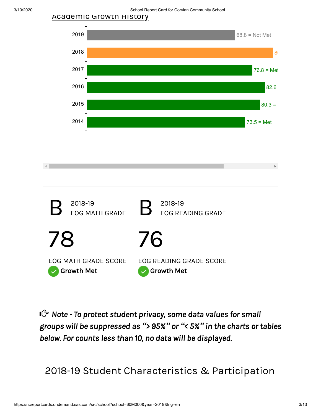3/10/2020 School Report Card for Corvian Community School





*Note - To protect student privacy, some data values for small groups will be suppressed as "> 95%" or "< 5%" in the charts or tables below. For counts less than 10, no data will be displayed.*

2018-19 Student Characteristics & Participation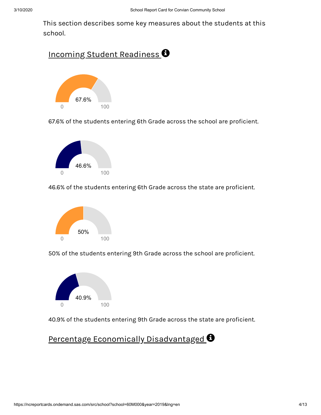This section describes some key measures about the students at this school.

#### Incoming Student Readiness  $\bm{\Theta}$



67.6% of the students entering 6th Grade across the school are proficient.



46.6% of the students entering 6th Grade across the state are proficient.



50% of the students entering 9th Grade across the school are proficient.



40.9% of the students entering 9th Grade across the state are proficient.

#### Percentage Economically Disadvantaged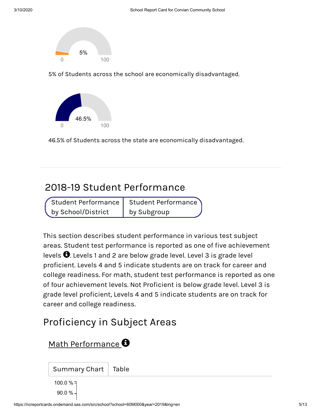

5% of Students across the school are economically disadvantaged.



46.5% of Students across the state are economically disadvantaged.

## 2018-19 Student Performance

Student Performance by School/District

Student Performance by Subgroup

This section describes student performance in various test subject areas. Student test performance is reported as one of five achievement levels  $\bm{\Theta}$ . Levels 1 and 2 are below grade level. Level 3 is grade level proficient. Levels 4 and 5 indicate students are on track for career and college readiness. For math, student test performance is reported as one of four achievement levels. Not Proficient is below grade level. Level 3 is grade level proficient, Levels 4 and 5 indicate students are on track for career and college readiness.

## Proficiency in Subject Areas

Math Performance<sup>8</sup>

Summary Chart | Table

90.0 % 100.0 %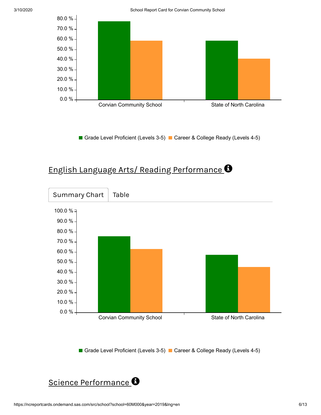

Grade Level Proficient (Levels 3-5) Career & College Ready (Levels 4-5)

#### English Language Arts/ Reading Performance



Grade Level Proficient (Levels 3-5) Career & College Ready (Levels 4-5)

#### Science Performance<sup>O</sup>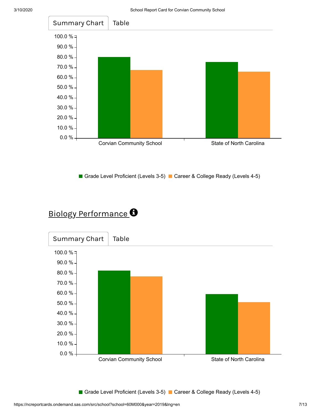

Grade Level Proficient (Levels 3-5) Career & College Ready (Levels 4-5)

#### Biology Performance<sup>O</sup>



Grade Level Proficient (Levels 3-5) Career & College Ready (Levels 4-5)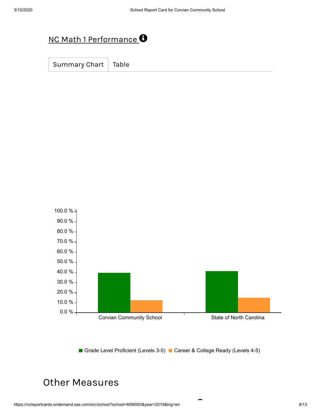## NC Math 1 Performance  $\bullet$

Summary Chart | Table



Grade Level Proficient (Levels 3-5) Career & College Ready (Levels 4-5)

Ξ

## Other Measures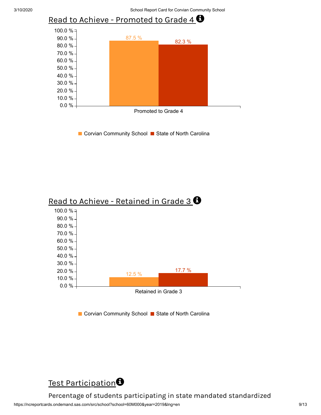

■ Corvian Community School ■ State of North Carolina





Percentage of students participating in state mandated standardized

https://ncreportcards.ondemand.sas.com/src/school?school=60M000&year=2019&lng=en 9/13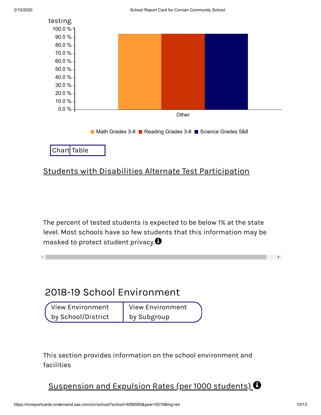$\left\| \cdot \right\|$ 



#### Students with Disabilities Alternate Test Participation

The percent of tested students is expected to be below 1% at the state level. Most schools have so few students that this information may be masked to protect student privacy. $\bm{\Theta}$ 

## 2018-19 School Environment

View Environment by School/District View Environment by Subgroup

This section provides information on the school environment and facilities

Suspension and Expulsion Rates (per 1000 students)  $\bm{\Theta}$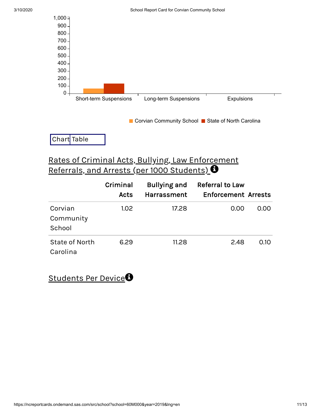

Chart Table

#### Rates of Criminal Acts, Bullying, Law Enforcement Referrals, and Arrests (per 1000 Students)  $\bm{\Theta}$

|                                | Criminal<br>Acts  | <b>Bullying and</b><br><b>Harrassment</b> | <b>Referral to Law</b><br><b>Enforcement Arrests</b> |      |
|--------------------------------|-------------------|-------------------------------------------|------------------------------------------------------|------|
| Corvian<br>Community<br>School | 1.02 <sub>1</sub> | 17.28                                     | 0.00                                                 | 0.00 |
| State of North<br>Carolina     | 6.29              | 11.28                                     | 2.48                                                 | 0.10 |

Students Per Device<sup>8</sup>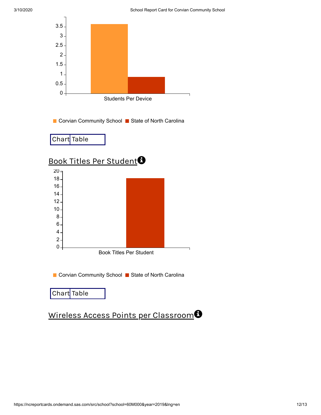

Chart Table

#### Wireless Access Points per Classroom O